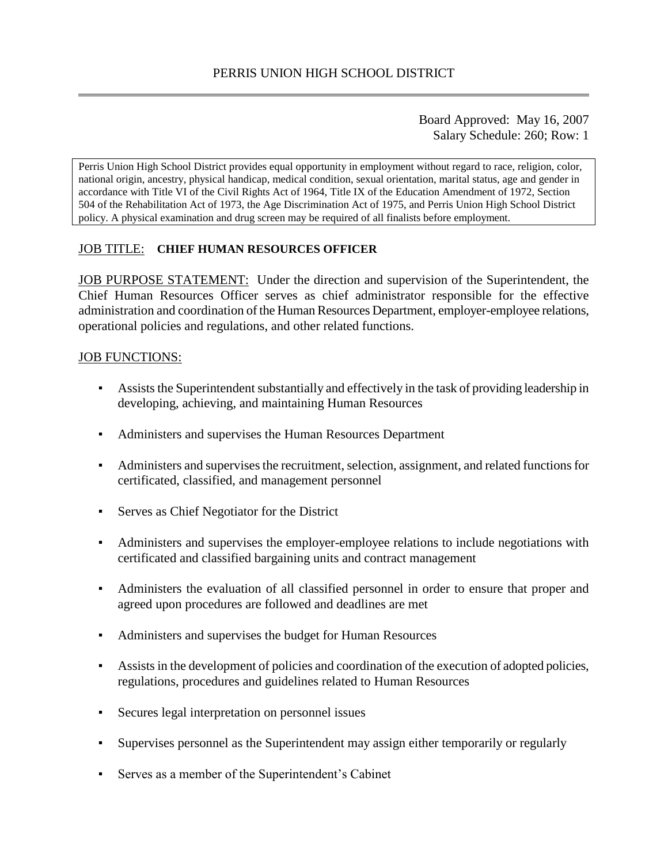Board Approved: May 16, 2007 Salary Schedule: 260; Row: 1

Perris Union High School District provides equal opportunity in employment without regard to race, religion, color, national origin, ancestry, physical handicap, medical condition, sexual orientation, marital status, age and gender in accordance with Title VI of the Civil Rights Act of 1964, Title IX of the Education Amendment of 1972, Section 504 of the Rehabilitation Act of 1973, the Age Discrimination Act of 1975, and Perris Union High School District policy. A physical examination and drug screen may be required of all finalists before employment.

### JOB TITLE: **CHIEF HUMAN RESOURCES OFFICER**

JOB PURPOSE STATEMENT: Under the direction and supervision of the Superintendent, the Chief Human Resources Officer serves as chief administrator responsible for the effective administration and coordination of the Human Resources Department, employer-employee relations, operational policies and regulations, and other related functions.

#### JOB FUNCTIONS:

- Assists the Superintendent substantially and effectively in the task of providing leadership in developing, achieving, and maintaining Human Resources
- Administers and supervises the Human Resources Department
- Administers and supervises the recruitment, selection, assignment, and related functions for certificated, classified, and management personnel
- Serves as Chief Negotiator for the District
- Administers and supervises the employer-employee relations to include negotiations with certificated and classified bargaining units and contract management
- Administers the evaluation of all classified personnel in order to ensure that proper and agreed upon procedures are followed and deadlines are met
- Administers and supervises the budget for Human Resources
- Assists in the development of policies and coordination of the execution of adopted policies, regulations, procedures and guidelines related to Human Resources
- Secures legal interpretation on personnel issues
- Supervises personnel as the Superintendent may assign either temporarily or regularly
- Serves as a member of the Superintendent's Cabinet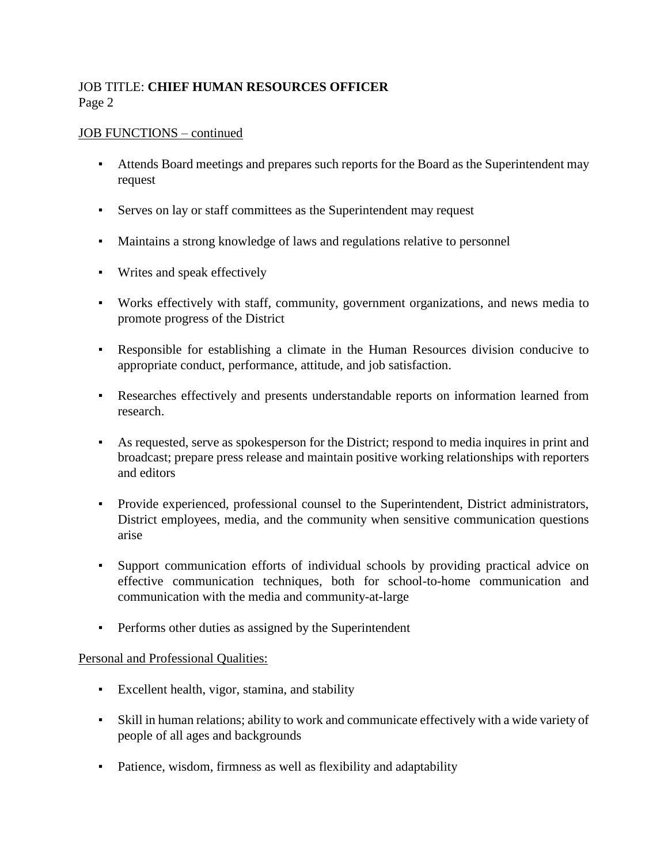# JOB TITLE: **CHIEF HUMAN RESOURCES OFFICER** Page 2

#### JOB FUNCTIONS – continued

- Attends Board meetings and prepares such reports for the Board as the Superintendent may request
- Serves on lay or staff committees as the Superintendent may request
- Maintains a strong knowledge of laws and regulations relative to personnel
- Writes and speak effectively
- Works effectively with staff, community, government organizations, and news media to promote progress of the District
- Responsible for establishing a climate in the Human Resources division conducive to appropriate conduct, performance, attitude, and job satisfaction.
- Researches effectively and presents understandable reports on information learned from research.
- As requested, serve as spokesperson for the District; respond to media inquires in print and broadcast; prepare press release and maintain positive working relationships with reporters and editors
- Provide experienced, professional counsel to the Superintendent, District administrators, District employees, media, and the community when sensitive communication questions arise
- Support communication efforts of individual schools by providing practical advice on effective communication techniques, both for school-to-home communication and communication with the media and community-at-large
- **Performs other duties as assigned by the Superintendent**

#### Personal and Professional Qualities:

- Excellent health, vigor, stamina, and stability
- Skill in human relations; ability to work and communicate effectively with a wide variety of people of all ages and backgrounds
- Patience, wisdom, firmness as well as flexibility and adaptability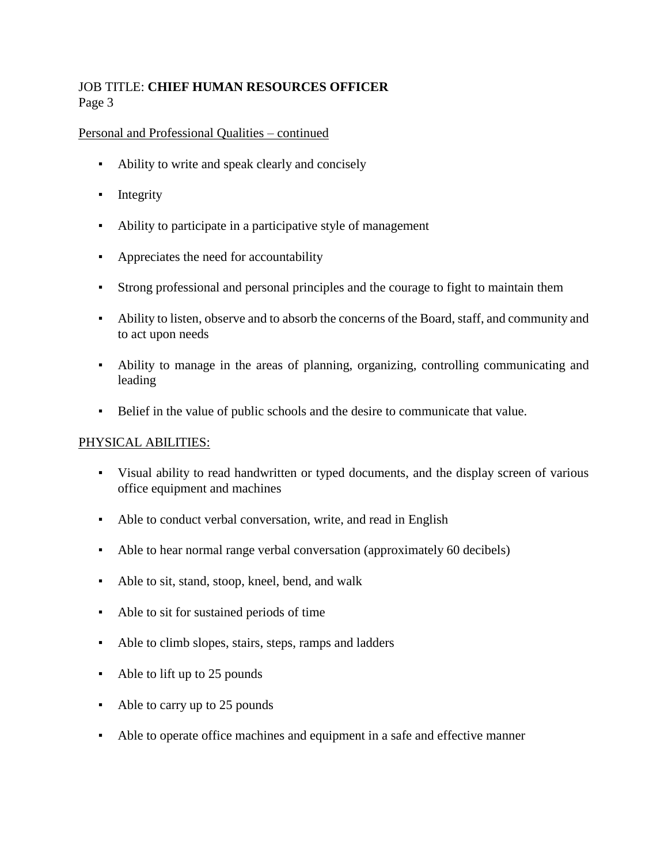# JOB TITLE: **CHIEF HUMAN RESOURCES OFFICER** Page 3

#### Personal and Professional Qualities – continued

- Ability to write and speak clearly and concisely
- **•** Integrity
- Ability to participate in a participative style of management
- Appreciates the need for accountability
- Strong professional and personal principles and the courage to fight to maintain them
- Ability to listen, observe and to absorb the concerns of the Board, staff, and community and to act upon needs
- Ability to manage in the areas of planning, organizing, controlling communicating and leading
- Belief in the value of public schools and the desire to communicate that value.

### PHYSICAL ABILITIES:

- Visual ability to read handwritten or typed documents, and the display screen of various office equipment and machines
- Able to conduct verbal conversation, write, and read in English
- Able to hear normal range verbal conversation (approximately 60 decibels)
- Able to sit, stand, stoop, kneel, bend, and walk
- Able to sit for sustained periods of time
- Able to climb slopes, stairs, steps, ramps and ladders
- Able to lift up to 25 pounds
- Able to carry up to 25 pounds
- Able to operate office machines and equipment in a safe and effective manner